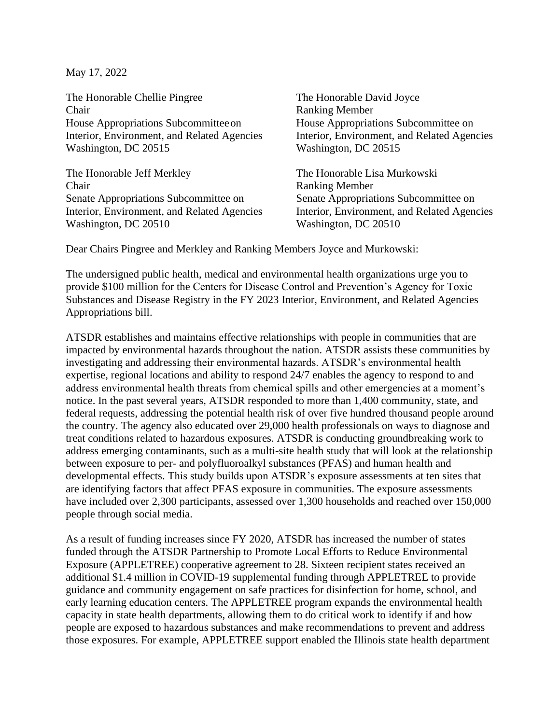May 17, 2022

The Honorable Chellie Pingree The Honorable David Joyce Chair Ranking Member House Appropriations Subcommitteeon House Appropriations Subcommittee on Interior, Environment, and Related Agencies Interior, Environment, and Related Agencies Washington, DC 20515 Washington, DC 20515

The Honorable Jeff Merkley The Honorable Lisa Murkowski **Chair** Ranking Member Senate Appropriations Subcommittee on Senate Appropriations Subcommittee on Washington, DC 20510 Washington, DC 20510

Interior, Environment, and Related Agencies Interior, Environment, and Related Agencies

Dear Chairs Pingree and Merkley and Ranking Members Joyce and Murkowski:

The undersigned public health, medical and environmental health organizations urge you to provide \$100 million for the Centers for Disease Control and Prevention's Agency for Toxic Substances and Disease Registry in the FY 2023 Interior, Environment, and Related Agencies Appropriations bill.

ATSDR establishes and maintains effective relationships with people in communities that are impacted by environmental hazards throughout the nation. ATSDR assists these communities by investigating and addressing their environmental hazards. ATSDR's environmental health expertise, regional locations and ability to respond 24/7 enables the agency to respond to and address environmental health threats from chemical spills and other emergencies at a moment's notice. In the past several years, ATSDR responded to more than 1,400 community, state, and federal requests, addressing the potential health risk of over five hundred thousand people around the country. The agency also educated over 29,000 health professionals on ways to diagnose and treat conditions related to hazardous exposures. ATSDR is conducting groundbreaking work to address emerging contaminants, such as a multi-site health study that will look at the relationship between exposure to per- and polyfluoroalkyl substances (PFAS) and human health and developmental effects. This study builds upon ATSDR's exposure assessments at ten sites that are identifying factors that affect PFAS exposure in communities. The exposure assessments have included over 2,300 participants, assessed over 1,300 households and reached over 150,000 people through social media.

As a result of funding increases since FY 2020, ATSDR has increased the number of states funded through the ATSDR Partnership to Promote Local Efforts to Reduce Environmental Exposure (APPLETREE) cooperative agreement to 28. Sixteen recipient states received an additional \$1.4 million in COVID-19 supplemental funding through APPLETREE to provide guidance and community engagement on safe practices for disinfection for home, school, and early learning education centers. The APPLETREE program expands the environmental health capacity in state health departments, allowing them to do critical work to identify if and how people are exposed to hazardous substances and make recommendations to prevent and address those exposures. For example, APPLETREE support enabled the Illinois state health department